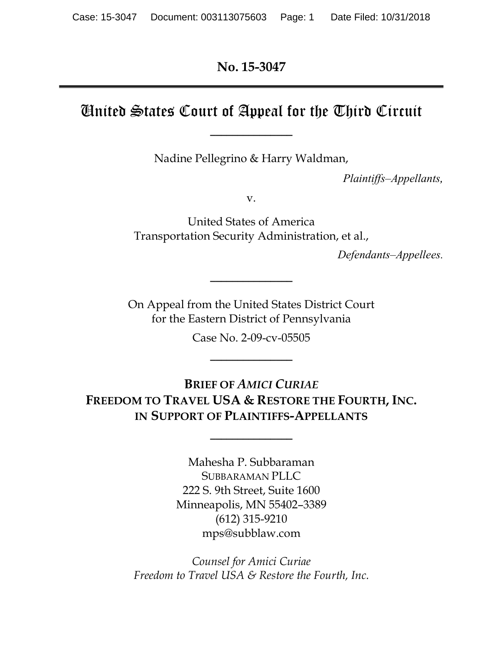**No. 15-3047**

## United States Court of Appeal for the Third Circuit

**\_\_\_\_\_\_\_\_\_\_\_\_\_\_\_**

Nadine Pellegrino & Harry Waldman,

*Plaintiffs–Appellants,*

v.

United States of America Transportation Security Administration, et al.,

*Defendants–Appellees.*

On Appeal from the United States District Court for the Eastern District of Pennsylvania

**\_\_\_\_\_\_\_\_\_\_\_\_\_\_\_**

Case No. 2-09-cv-05505

**\_\_\_\_\_\_\_\_\_\_\_\_\_\_\_**

**BRIEF OF** *AMICI CURIAE* **FREEDOM TO TRAVEL USA & RESTORE THE FOURTH, INC. IN SUPPORT OF PLAINTIFFS-APPELLANTS**

**\_\_\_\_\_\_\_\_\_\_\_\_\_\_\_**

Mahesha P. Subbaraman SUBBARAMAN PLLC 222 S. 9th Street, Suite 1600 Minneapolis, MN 55402–3389 (612) 315-9210 mps@subblaw.com

*Counsel for Amici Curiae Freedom to Travel USA & Restore the Fourth, Inc.*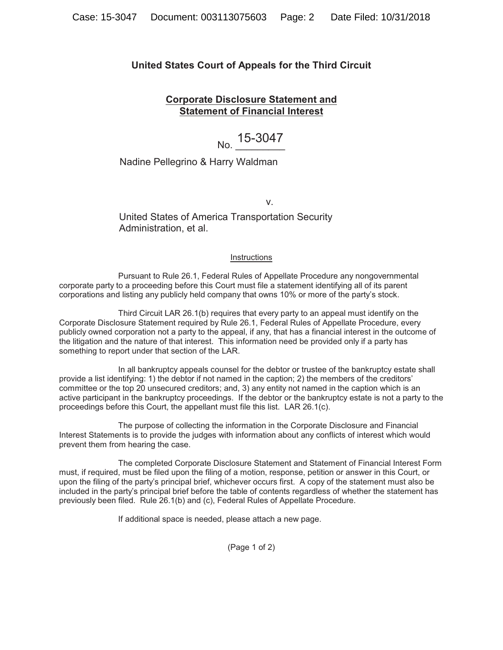#### **United States Court of Appeals for the Third Circuit**

#### **Corporate Disclosure Statement and Statement of Financial Interest**

# No. 15-3047

#### Nadine Pellegrino & Harry Waldman

v. *v.* v. *v.* v. *v.* v. *v.* v. *v.* v. *v.* v. *v.* v. *v.* v. *v.* v. *v.* v. *v.* v. *v.* v. *v.* v. *v.* v. *v.* v. *v.* v. *v.* v. *v.* v. *v.* v. *v.* v. *v.* v. *v.* v. *v.* v. *v.* v. *v.* v. *v.* v. *v.* v. *v.* 

United States of America Transportation Security Administration, et al.

#### **Instructions**

Pursuant to Rule 26.1, Federal Rules of Appellate Procedure any nongovernmental corporate party to a proceeding before this Court must file a statement identifying all of its parent corporations and listing any publicly held company that owns 10% or more of the party's stock.

Third Circuit LAR 26.1(b) requires that every party to an appeal must identify on the Corporate Disclosure Statement required by Rule 26.1, Federal Rules of Appellate Procedure, every publicly owned corporation not a party to the appeal, if any, that has a financial interest in the outcome of the litigation and the nature of that interest. This information need be provided only if a party has something to report under that section of the LAR.

In all bankruptcy appeals counsel for the debtor or trustee of the bankruptcy estate shall provide a list identifying: 1) the debtor if not named in the caption; 2) the members of the creditors' committee or the top 20 unsecured creditors; and, 3) any entity not named in the caption which is an active participant in the bankruptcy proceedings. If the debtor or the bankruptcy estate is not a party to the proceedings before this Court, the appellant must file this list. LAR 26.1(c).

The purpose of collecting the information in the Corporate Disclosure and Financial Interest Statements is to provide the judges with information about any conflicts of interest which would prevent them from hearing the case.

The completed Corporate Disclosure Statement and Statement of Financial Interest Form must, if required, must be filed upon the filing of a motion, response, petition or answer in this Court, or upon the filing of the party's principal brief, whichever occurs first. A copy of the statement must also be included in the party's principal brief before the table of contents regardless of whether the statement has previously been filed. Rule 26.1(b) and (c), Federal Rules of Appellate Procedure.

If additional space is needed, please attach a new page.

(Page 1 of 2)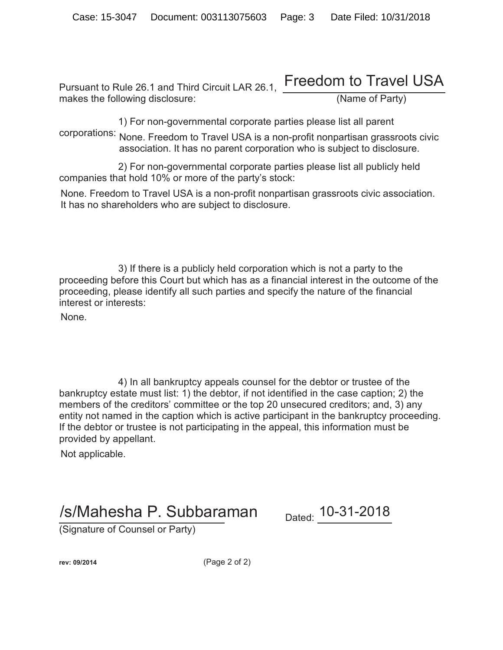## Pursuant to Rule 26.1 and Third Circuit LAR 26.1, Freedom to Travel USA makes the following disclosure: (Name of Party)

1) For non-governmental corporate parties please list all parent

corporations: None. Freedom to Travel USA is a non-profit nonpartisan grassroots civic association. It has no parent corporation who is subject to disclosure.

2) For non-governmental corporate parties please list all publicly held companies that hold 10% or more of the party's stock:

None. Freedom to Travel USA is a non-profit nonpartisan grassroots civic association. It has no shareholders who are subject to disclosure.

3) If there is a publicly held corporation which is not a party to the proceeding before this Court but which has as a financial interest in the outcome of the proceeding, please identify all such parties and specify the nature of the financial interest or interests:

None.

4) In all bankruptcy appeals counsel for the debtor or trustee of the bankruptcy estate must list: 1) the debtor, if not identified in the case caption; 2) the members of the creditors' committee or the top 20 unsecured creditors; and, 3) any entity not named in the caption which is active participant in the bankruptcy proceeding. If the debtor or trustee is not participating in the appeal, this information must be provided by appellant.

Not applicable.

# /s/Mahesha P. Subbaraman Dated: 10-31-2018

(Signature of Counsel or Party)

**rev: 09/2014** (Page 2 of 2)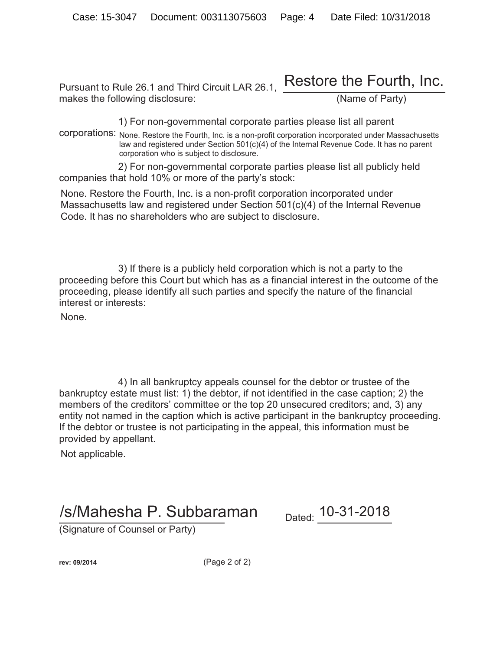#### Pursuant to Rule 26.1 and Third Circuit LAR 26.1, makes the following disclosure: (Name of Party) Restore the Fourth, Inc.

1) For non-governmental corporate parties please list all parent

corporations: None. Restore the Fourth, Inc. is a non-profit corporation incorporated under Massachusetts law and registered under Section 501(c)(4) of the Internal Revenue Code. It has no parent corporation who is subject to disclosure.

2) For non-governmental corporate parties please list all publicly held companies that hold 10% or more of the party's stock:

None. Restore the Fourth, Inc. is a non-profit corporation incorporated under Massachusetts law and registered under Section 501(c)(4) of the Internal Revenue Code. It has no shareholders who are subject to disclosure.

3) If there is a publicly held corporation which is not a party to the proceeding before this Court but which has as a financial interest in the outcome of the proceeding, please identify all such parties and specify the nature of the financial interest or interests:

None.

4) In all bankruptcy appeals counsel for the debtor or trustee of the bankruptcy estate must list: 1) the debtor, if not identified in the case caption; 2) the members of the creditors' committee or the top 20 unsecured creditors; and, 3) any entity not named in the caption which is active participant in the bankruptcy proceeding. If the debtor or trustee is not participating in the appeal, this information must be provided by appellant.

Not applicable.

# /s/Mahesha P. Subbaraman Dated: 10-31-2018

(Signature of Counsel or Party)

**rev: 09/2014** (Page 2 of 2)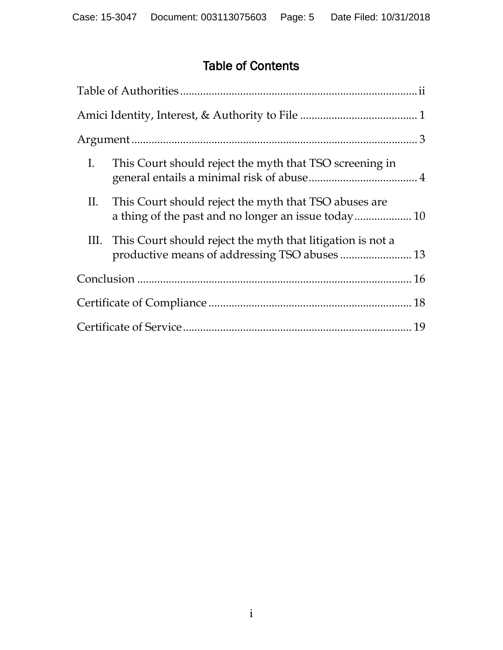## Table of Contents

| Ι. | This Court should reject the myth that TSO screening in                                                          |  |
|----|------------------------------------------------------------------------------------------------------------------|--|
|    | II. This Court should reject the myth that TSO abuses are                                                        |  |
|    | III. This Court should reject the myth that litigation is not a<br>productive means of addressing TSO abuses  13 |  |
|    |                                                                                                                  |  |
|    |                                                                                                                  |  |
|    |                                                                                                                  |  |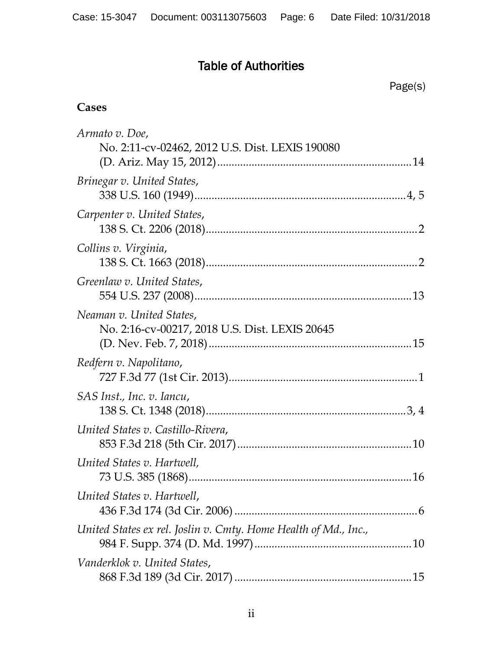## Table of Authorities

Page(s)

#### **Cases**

| Armato v. Doe,                                                             |  |
|----------------------------------------------------------------------------|--|
| No. 2:11-cv-02462, 2012 U.S. Dist. LEXIS 190080                            |  |
|                                                                            |  |
| Brinegar v. United States,                                                 |  |
| Carpenter v. United States,                                                |  |
| Collins v. Virginia,                                                       |  |
| Greenlaw v. United States,                                                 |  |
| Neaman v. United States,<br>No. 2:16-cv-00217, 2018 U.S. Dist. LEXIS 20645 |  |
| Redfern v. Napolitano,                                                     |  |
| SAS Inst., Inc. v. Iancu,                                                  |  |
| United States v. Castillo-Rivera,                                          |  |
| United States v. Hartwell,                                                 |  |
| United States v. Hartwell,                                                 |  |
| United States ex rel. Joslin v. Cmty. Home Health of Md., Inc.,            |  |
| Vanderklok v. United States,                                               |  |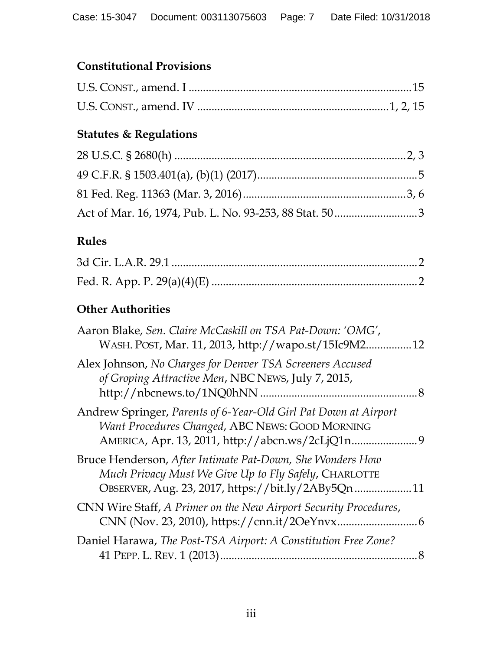## **Constitutional Provisions**

## **Statutes & Regulations**

## **Rules**

## **Other Authorities**

| Aaron Blake, Sen. Claire McCaskill on TSA Pat-Down: 'OMG',<br>WASH. POST, Mar. 11, 2013, http://wapo.st/15Ic9M2.                                                            | 12 |
|-----------------------------------------------------------------------------------------------------------------------------------------------------------------------------|----|
| Alex Johnson, No Charges for Denver TSA Screeners Accused<br>of Groping Attractive Men, NBC NEWS, July 7, 2015,<br>http://nbcnews.to/1NQ0hNN                                | 8  |
| Andrew Springer, Parents of 6-Year-Old Girl Pat Down at Airport<br>Want Procedures Changed, ABC NEWS: GOOD MORNING<br>AMERICA, Apr. 13, 2011, http://abcn.ws/2cLjQ1n<br>. 9 |    |
| Bruce Henderson, After Intimate Pat-Down, She Wonders How<br>Much Privacy Must We Give Up to Fly Safely, CHARLOTTE<br>OBSERVER, Aug. 23, 2017, https://bit.ly/2ABy5Qn       | 11 |
| CNN Wire Staff, A Primer on the New Airport Security Procedures,                                                                                                            | 6  |
| Daniel Harawa, The Post-TSA Airport: A Constitution Free Zone?                                                                                                              |    |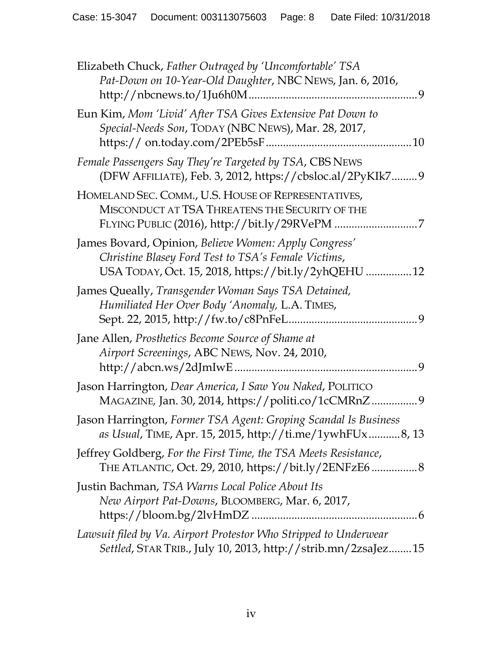| Elizabeth Chuck, Father Outraged by 'Uncomfortable' TSA<br>Pat-Down on 10-Year-Old Daughter, NBC NEWS, Jan. 6, 2016,<br>9                                           |
|---------------------------------------------------------------------------------------------------------------------------------------------------------------------|
| Eun Kim, Mom 'Livid' After TSA Gives Extensive Pat Down to<br>Special-Needs Son, TODAY (NBC NEWS), Mar. 28, 2017,                                                   |
| Female Passengers Say They're Targeted by TSA, CBS NEWS<br>(DFW AFFILIATE), Feb. 3, 2012, https://cbsloc.al/2PyKIk79                                                |
| HOMELAND SEC. COMM., U.S. HOUSE OF REPRESENTATIVES,<br>MISCONDUCT AT TSA THREATENS THE SECURITY OF THE                                                              |
| James Bovard, Opinion, Believe Women: Apply Congress'<br>Christine Blasey Ford Test to TSA's Female Victims,<br>USA TODAY, Oct. 15, 2018, https://bit.ly/2yhQEHU 12 |
| James Queally, Transgender Woman Says TSA Detained,<br>Humiliated Her Over Body 'Anomaly, L.A. TIMES,<br>9                                                          |
| Jane Allen, Prosthetics Become Source of Shame at<br>Airport Screenings, ABC NEWS, Nov. 24, 2010,<br>9                                                              |
| Jason Harrington, Dear America, I Saw You Naked, POLITICO<br>MAGAZINE, Jan. 30, 2014, https://politi.co/1cCMRnZ<br>. 9                                              |
| Jason Harrington, Former TSA Agent: Groping Scandal Is Business<br>as Usual, TIME, Apr. 15, 2015, http://ti.me/1ywhFUx8, 13                                         |
| Jeffrey Goldberg, For the First Time, the TSA Meets Resistance,<br>THE ATLANTIC, Oct. 29, 2010, https://bit.ly/2ENFzE6 8                                            |
| Justin Bachman, TSA Warns Local Police About Its<br>New Airport Pat-Downs, BLOOMBERG, Mar. 6, 2017,                                                                 |
| Lawsuit filed by Va. Airport Protestor Who Stripped to Underwear<br>Settled, STAR TRIB., July 10, 2013, http://strib.mn/2zsaJez15                                   |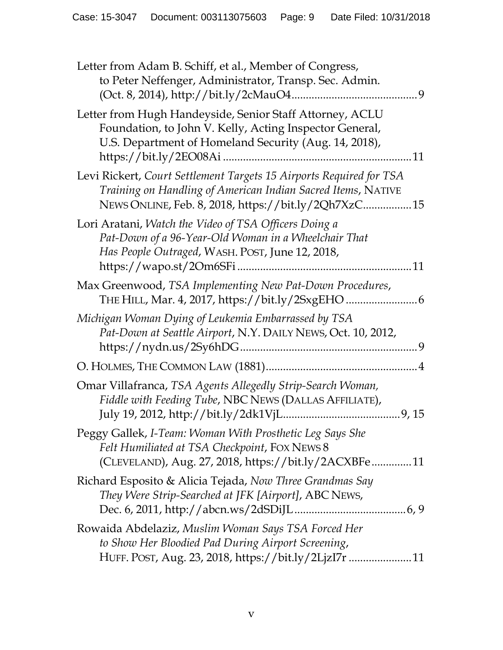| Letter from Adam B. Schiff, et al., Member of Congress,<br>to Peter Neffenger, Administrator, Transp. Sec. Admin.                                                                          |
|--------------------------------------------------------------------------------------------------------------------------------------------------------------------------------------------|
| Letter from Hugh Handeyside, Senior Staff Attorney, ACLU<br>Foundation, to John V. Kelly, Acting Inspector General,<br>U.S. Department of Homeland Security (Aug. 14, 2018),<br>11         |
| Levi Rickert, Court Settlement Targets 15 Airports Required for TSA<br>Training on Handling of American Indian Sacred Items, NATIVE<br>NEWS ONLINE, Feb. 8, 2018, https://bit.ly/2Qh7XzC15 |
| Lori Aratani, Watch the Video of TSA Officers Doing a<br>Pat-Down of a 96-Year-Old Woman in a Wheelchair That<br>Has People Outraged, WASH. POST, June 12, 2018,                           |
| Max Greenwood, TSA Implementing New Pat-Down Procedures,                                                                                                                                   |
| Michigan Woman Dying of Leukemia Embarrassed by TSA<br>Pat-Down at Seattle Airport, N.Y. DAILY NEWS, Oct. 10, 2012,                                                                        |
|                                                                                                                                                                                            |
| Omar Villafranca, TSA Agents Allegedly Strip-Search Woman,<br>Fiddle with Feeding Tube, NBC NEWS (DALLAS AFFILIATE),                                                                       |
| Peggy Gallek, I-Team: Woman With Prosthetic Leg Says She<br>Felt Humiliated at TSA Checkpoint, FOX NEWS 8<br>(CLEVELAND), Aug. 27, 2018, https://bit.ly/2ACXBFe11                          |
| Richard Esposito & Alicia Tejada, Now Three Grandmas Say<br>They Were Strip-Searched at JFK [Airport], ABC NEWS,                                                                           |
| Rowaida Abdelaziz, Muslim Woman Says TSA Forced Her<br>to Show Her Bloodied Pad During Airport Screening,<br>HUFF. POST, Aug. 23, 2018, https://bit.ly/2LjzI7r  11                         |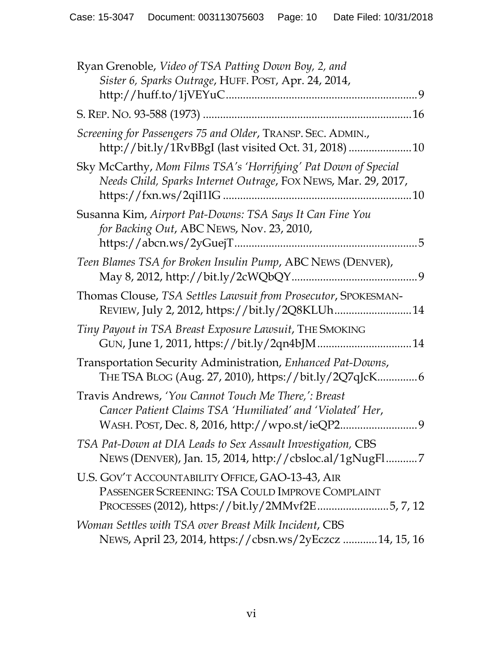| Ryan Grenoble, Video of TSA Patting Down Boy, 2, and<br>Sister 6, Sparks Outrage, HUFF. POST, Apr. 24, 2014,                                             |
|----------------------------------------------------------------------------------------------------------------------------------------------------------|
|                                                                                                                                                          |
|                                                                                                                                                          |
| Screening for Passengers 75 and Older, TRANSP. SEC. ADMIN.,<br>http://bit.ly/1RvBBgI (last visited Oct. 31, 2018)  10                                    |
| Sky McCarthy, Mom Films TSA's 'Horrifying' Pat Down of Special<br>Needs Child, Sparks Internet Outrage, FOX NEWS, Mar. 29, 2017,                         |
| Susanna Kim, Airport Pat-Downs: TSA Says It Can Fine You<br>for Backing Out, ABC NEWS, Nov. 23, 2010,                                                    |
| Teen Blames TSA for Broken Insulin Pump, ABC NEWS (DENVER),                                                                                              |
| Thomas Clouse, TSA Settles Lawsuit from Prosecutor, SPOKESMAN-<br>REVIEW, July 2, 2012, https://bit.ly/2Q8KLUh 14                                        |
| Tiny Payout in TSA Breast Exposure Lawsuit, THE SMOKING                                                                                                  |
| Transportation Security Administration, Enhanced Pat-Downs,                                                                                              |
| Travis Andrews, 'You Cannot Touch Me There,': Breast<br>Cancer Patient Claims TSA 'Humiliated' and 'Violated' Her,<br>9                                  |
| TSA Pat-Down at DIA Leads to Sex Assault Investigation, CBS<br>NEWS (DENVER), Jan. 15, 2014, http://cbsloc.al/1gNugFl7                                   |
| U.S. GOV'T ACCOUNTABILITY OFFICE, GAO-13-43, AIR<br>PASSENGER SCREENING: TSA COULD IMPROVE COMPLAINT<br>PROCESSES (2012), https://bit.ly/2MMvf2E5, 7, 12 |
| Woman Settles with TSA over Breast Milk Incident, CBS<br>NEWS, April 23, 2014, https://cbsn.ws/2yEczcz 14, 15, 16                                        |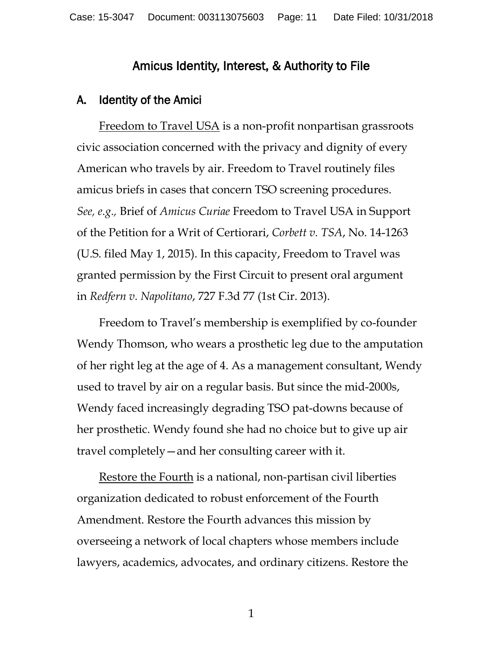#### Amicus Identity, Interest, & Authority to File

#### A. Identity of the Amici

Freedom to Travel USA is a non-profit nonpartisan grassroots civic association concerned with the privacy and dignity of every American who travels by air. Freedom to Travel routinely files amicus briefs in cases that concern TSO screening procedures. *See, e.g.,* Brief of *Amicus Curiae* Freedom to Travel USA in Support of the Petition for a Writ of Certiorari, *Corbett v. TSA*, No. 14-1263 (U.S. filed May 1, 2015). In this capacity, Freedom to Travel was granted permission by the First Circuit to present oral argument in *Redfern v. Napolitano*, 727 F.3d 77 (1st Cir. 2013).

Freedom to Travel's membership is exemplified by co-founder Wendy Thomson, who wears a prosthetic leg due to the amputation of her right leg at the age of 4. As a management consultant, Wendy used to travel by air on a regular basis. But since the mid-2000s, Wendy faced increasingly degrading TSO pat-downs because of her prosthetic. Wendy found she had no choice but to give up air travel completely—and her consulting career with it.

Restore the Fourth is a national, non-partisan civil liberties organization dedicated to robust enforcement of the Fourth Amendment. Restore the Fourth advances this mission by overseeing a network of local chapters whose members include lawyers, academics, advocates, and ordinary citizens. Restore the

1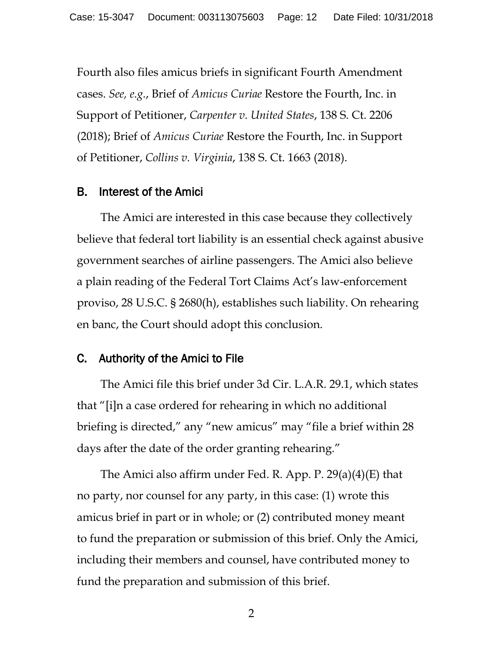Fourth also files amicus briefs in significant Fourth Amendment cases. *See, e.g.*, Brief of *Amicus Curiae* Restore the Fourth, Inc. in Support of Petitioner, *Carpenter v. United States*, 138 S. Ct. 2206 (2018); Brief of *Amicus Curiae* Restore the Fourth, Inc. in Support of Petitioner, *Collins v. Virginia*, 138 S. Ct. 1663 (2018).

#### B. Interest of the Amici

The Amici are interested in this case because they collectively believe that federal tort liability is an essential check against abusive government searches of airline passengers. The Amici also believe a plain reading of the Federal Tort Claims Act's law-enforcement proviso, 28 U.S.C. § 2680(h), establishes such liability. On rehearing en banc, the Court should adopt this conclusion.

#### C. Authority of the Amici to File

The Amici file this brief under 3d Cir. L.A.R. 29.1, which states that "[i]n a case ordered for rehearing in which no additional briefing is directed," any "new amicus" may "file a brief within 28 days after the date of the order granting rehearing."

The Amici also affirm under Fed. R. App. P. 29(a)(4)(E) that no party, nor counsel for any party, in this case: (1) wrote this amicus brief in part or in whole; or (2) contributed money meant to fund the preparation or submission of this brief. Only the Amici, including their members and counsel, have contributed money to fund the preparation and submission of this brief.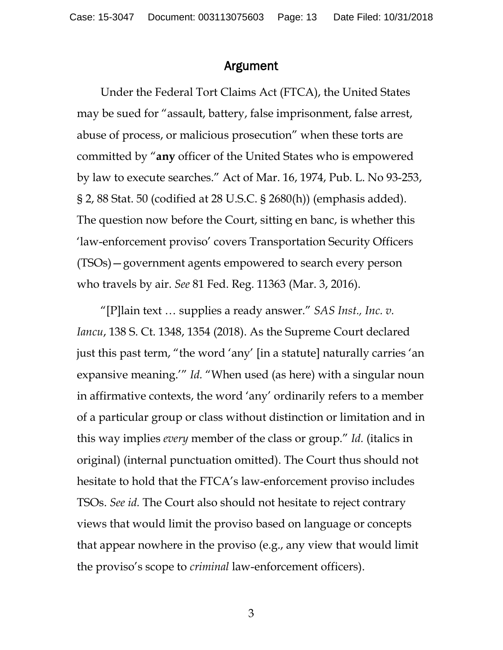#### Argument

Under the Federal Tort Claims Act (FTCA), the United States may be sued for "assault, battery, false imprisonment, false arrest, abuse of process, or malicious prosecution" when these torts are committed by "**any** officer of the United States who is empowered by law to execute searches." Act of Mar. 16, 1974, Pub. L. No 93-253, § 2, 88 Stat. 50 (codified at 28 U.S.C. § 2680(h)) (emphasis added). The question now before the Court, sitting en banc, is whether this 'law-enforcement proviso' covers Transportation Security Officers (TSOs)—government agents empowered to search every person who travels by air. *See* 81 Fed. Reg. 11363 (Mar. 3, 2016).

"[P]lain text … supplies a ready answer." *SAS Inst., Inc. v. Iancu*, 138 S. Ct. 1348, 1354 (2018). As the Supreme Court declared just this past term, "the word 'any' [in a statute] naturally carries 'an expansive meaning.'" *Id.* "When used (as here) with a singular noun in affirmative contexts, the word 'any' ordinarily refers to a member of a particular group or class without distinction or limitation and in this way implies *every* member of the class or group." *Id.* (italics in original) (internal punctuation omitted). The Court thus should not hesitate to hold that the FTCA's law-enforcement proviso includes TSOs. *See id.* The Court also should not hesitate to reject contrary views that would limit the proviso based on language or concepts that appear nowhere in the proviso (e.g., any view that would limit the proviso's scope to *criminal* law-enforcement officers).

3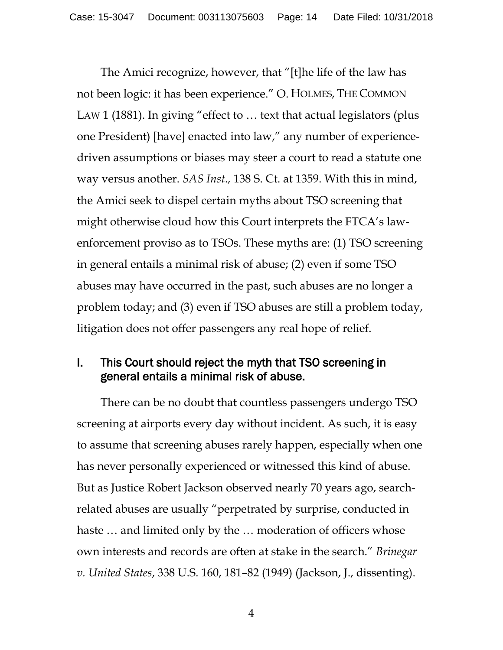The Amici recognize, however, that "[t]he life of the law has not been logic: it has been experience." O. HOLMES, THE COMMON LAW 1 (1881). In giving "effect to … text that actual legislators (plus one President) [have] enacted into law," any number of experiencedriven assumptions or biases may steer a court to read a statute one way versus another. *SAS Inst.,* 138 S. Ct. at 1359. With this in mind, the Amici seek to dispel certain myths about TSO screening that might otherwise cloud how this Court interprets the FTCA's lawenforcement proviso as to TSOs. These myths are: (1) TSO screening in general entails a minimal risk of abuse; (2) even if some TSO abuses may have occurred in the past, such abuses are no longer a problem today; and (3) even if TSO abuses are still a problem today, litigation does not offer passengers any real hope of relief.

#### I. This Court should reject the myth that TSO screening in general entails a minimal risk of abuse.

There can be no doubt that countless passengers undergo TSO screening at airports every day without incident. As such, it is easy to assume that screening abuses rarely happen, especially when one has never personally experienced or witnessed this kind of abuse. But as Justice Robert Jackson observed nearly 70 years ago, searchrelated abuses are usually "perpetrated by surprise, conducted in haste … and limited only by the … moderation of officers whose own interests and records are often at stake in the search." *Brinegar v. United States*, 338 U.S. 160, 181–82 (1949) (Jackson, J., dissenting).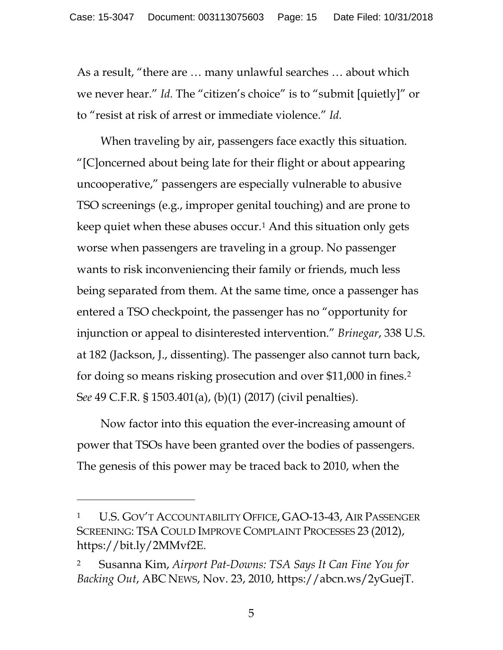As a result, "there are … many unlawful searches … about which we never hear." *Id.* The "citizen's choice" is to "submit [quietly]" or to "resist at risk of arrest or immediate violence." *Id.*

When traveling by air, passengers face exactly this situation. "[C]oncerned about being late for their flight or about appearing uncooperative," passengers are especially vulnerable to abusive TSO screenings (e.g., improper genital touching) and are prone to keep quiet when these abuses occur.[1](#page-14-0) And this situation only gets worse when passengers are traveling in a group. No passenger wants to risk inconveniencing their family or friends, much less being separated from them. At the same time, once a passenger has entered a TSO checkpoint, the passenger has no "opportunity for injunction or appeal to disinterested intervention." *Brinegar*, 338 U.S. at 182 (Jackson, J., dissenting). The passenger also cannot turn back, for doing so means risking prosecution and over \$11,000 in fines.[2](#page-14-1) S*ee* 49 C.F.R. § 1503.401(a), (b)(1) (2017) (civil penalties).

Now factor into this equation the ever-increasing amount of power that TSOs have been granted over the bodies of passengers. The genesis of this power may be traced back to 2010, when the

 $\overline{a}$ 

5

<span id="page-14-0"></span><sup>&</sup>lt;sup>1</sup> U.S. GOV'T ACCOUNTABILITY OFFICE, GAO-13-43, AIR PASSENGER SCREENING: TSA COULD IMPROVE COMPLAINT PROCESSES 23 (2012), https://bit.ly/2MMvf2E.

<span id="page-14-1"></span><sup>2</sup> Susanna Kim, *Airport Pat-Downs: TSA Says It Can Fine You for Backing Out*, ABC NEWS, Nov. 23, 2010, https://abcn.ws/2yGuejT.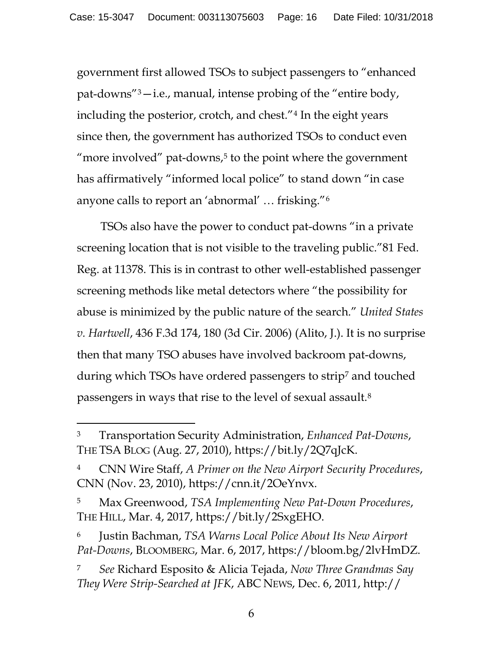government first allowed TSOs to subject passengers to "enhanced pat-downs"[3](#page-15-0)—i.e., manual, intense probing of the "entire body, including the posterior, crotch, and chest."[4](#page-15-1) In the eight years since then, the government has authorized TSOs to conduct even "more involved" pat-downs, $5$  to the point where the government has affirmatively "informed local police" to stand down "in case anyone calls to report an 'abnormal' … frisking."[6](#page-15-3)

TSOs also have the power to conduct pat-downs "in a private screening location that is not visible to the traveling public."81 Fed. Reg. at 11378. This is in contrast to other well-established passenger screening methods like metal detectors where "the possibility for abuse is minimized by the public nature of the search." *United States v. Hartwell*, 436 F.3d 174, 180 (3d Cir. 2006) (Alito, J.). It is no surprise then that many TSO abuses have involved backroom pat-downs, during which TSOs have ordered passengers to strip<sup>[7](#page-15-4)</sup> and touched passengers in ways that rise to the level of sexual assault.[8](#page-15-5)

<span id="page-15-0"></span><sup>3</sup> Transportation Security Administration, *Enhanced Pat-Downs*, THE TSA BLOG (Aug. 27, 2010), https://bit.ly/2Q7qJcK.

<span id="page-15-5"></span><span id="page-15-1"></span><sup>4</sup> CNN Wire Staff, *A Primer on the New Airport Security Procedures*, CNN (Nov. 23, 2010), https://cnn.it/2OeYnvx.

<span id="page-15-2"></span><sup>5</sup> Max Greenwood, *TSA Implementing New Pat-Down Procedures*, THE HILL, Mar. 4, 2017, https://bit.ly/2SxgEHO.

<span id="page-15-3"></span><sup>6</sup> Justin Bachman, *TSA Warns Local Police About Its New Airport Pat-Downs*, BLOOMBERG, Mar. 6, 2017, https://bloom.bg/2lvHmDZ.

<span id="page-15-4"></span><sup>7</sup> *See* Richard Esposito & Alicia Tejada, *Now Three Grandmas Say They Were Strip-Searched at JFK*, ABC NEWS, Dec. 6, 2011, http://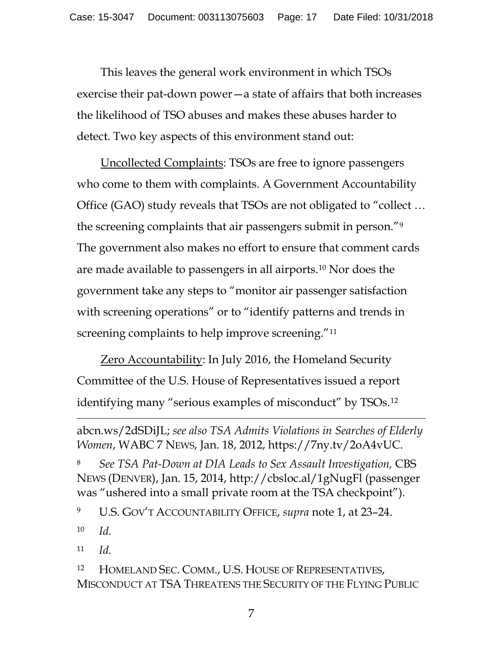This leaves the general work environment in which TSOs exercise their pat-down power—a state of affairs that both increases the likelihood of TSO abuses and makes these abuses harder to detect. Two key aspects of this environment stand out:

Uncollected Complaints: TSOs are free to ignore passengers who come to them with complaints. A Government Accountability Office (GAO) study reveals that TSOs are not obligated to "collect … the screening complaints that air passengers submit in person.["9](#page-16-0) The government also makes no effort to ensure that comment cards are made available to passengers in all airports.[10](#page-16-1) Nor does the government take any steps to "monitor air passenger satisfaction with screening operations" or to "identify patterns and trends in screening complaints to help improve screening."<sup>[11](#page-16-2)</sup>

Zero Accountability: In July 2016, the Homeland Security Committee of the U.S. House of Representatives issued a report identifying many "serious examples of misconduct" by TSOs.[12](#page-16-3)

<sup>8</sup> *See TSA Pat-Down at DIA Leads to Sex Assault Investigation,* CBS NEWS (DENVER), Jan. 15, 2014, http://cbsloc.al/1gNugFl (passenger was "ushered into a small private room at the TSA checkpoint").

<span id="page-16-0"></span><sup>9</sup> U.S. GOV'T ACCOUNTABILITY OFFICE, *supra* note 1, at 23–24.

<span id="page-16-1"></span><sup>10</sup> *Id.* 

 $\overline{a}$ 

<span id="page-16-2"></span><sup>11</sup> *Id.*

abcn.ws/2dSDiJL; *see also TSA Admits Violations in Searches of Elderly Women*, WABC 7 NEWS, Jan. 18, 2012, https://7ny.tv/2oA4vUC.

<span id="page-16-3"></span><sup>12</sup> HOMELAND SEC. COMM., U.S. HOUSE OF REPRESENTATIVES, MISCONDUCT AT TSA THREATENS THE SECURITY OF THE FLYING PUBLIC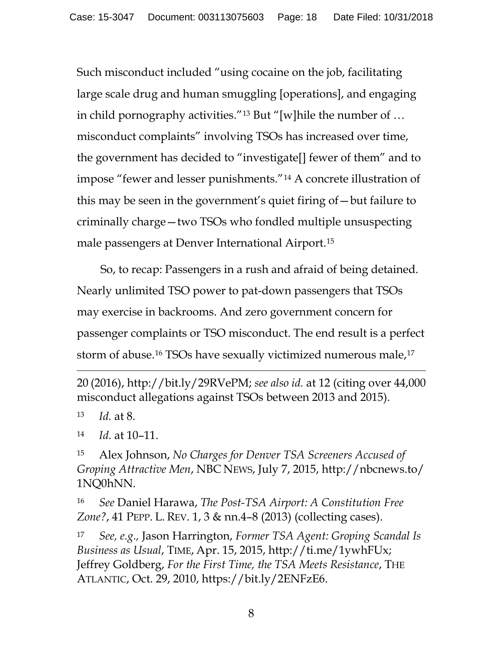Such misconduct included "using cocaine on the job, facilitating large scale drug and human smuggling [operations], and engaging in child pornography activities."[13](#page-17-0) But "[w]hile the number of … misconduct complaints" involving TSOs has increased over time, the government has decided to "investigate[] fewer of them" and to impose "fewer and lesser punishments."[14](#page-17-1) A concrete illustration of this may be seen in the government's quiet firing of—but failure to criminally charge—two TSOs who fondled multiple unsuspecting male passengers at Denver International Airport.[15](#page-17-2)

So, to recap: Passengers in a rush and afraid of being detained. Nearly unlimited TSO power to pat-down passengers that TSOs may exercise in backrooms. And zero government concern for passenger complaints or TSO misconduct. The end result is a perfect storm of abuse.<sup>[16](#page-17-3)</sup> TSOs have sexually victimized numerous male,<sup>[17](#page-17-4)</sup>

20 (2016), http://bit.ly/29RVePM; *see also id.* at 12 (citing over 44,000 misconduct allegations against TSOs between 2013 and 2015).

<span id="page-17-0"></span><sup>13</sup> *Id.* at 8.

 $\overline{a}$ 

<span id="page-17-1"></span><sup>14</sup> *Id.* at 10–11.

<span id="page-17-2"></span><sup>15</sup> Alex Johnson, *No Charges for Denver TSA Screeners Accused of Groping Attractive Men*, NBC NEWS, July 7, 2015, http://nbcnews.to/ 1NQ0hNN.

<span id="page-17-3"></span><sup>16</sup> *See* Daniel Harawa, *The Post-TSA Airport: A Constitution Free Zone?*, 41 PEPP. L. REV. 1, 3 & nn.4–8 (2013) (collecting cases).

<span id="page-17-4"></span><sup>17</sup> *See, e.g.,* Jason Harrington, *Former TSA Agent: Groping Scandal Is Business as Usual*, TIME, Apr. 15, 2015, http://ti.me/1ywhFUx; Jeffrey Goldberg, *For the First Time, the TSA Meets Resistance*, THE ATLANTIC, Oct. 29, 2010, https://bit.ly/2ENFzE6.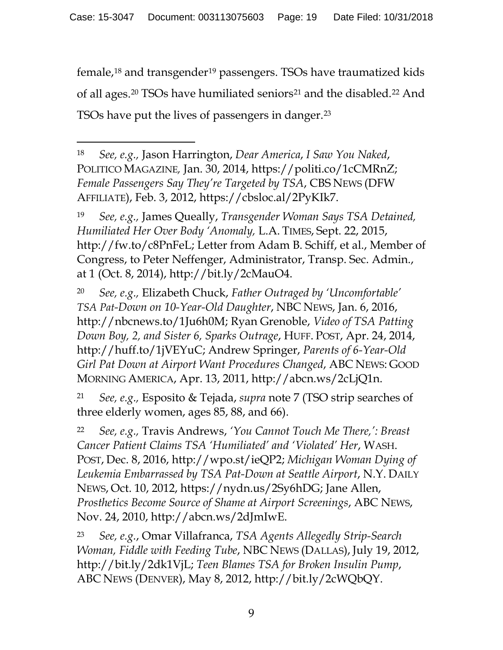female,[18](#page-18-0) and transgender[19](#page-18-1) passengers. TSOs have traumatized kids of all ages.<sup>20</sup> TSOs have humiliated seniors<sup>[21](#page-18-3)</sup> and the disabled.<sup>[22](#page-18-4)</sup> And TSOs have put the lives of passengers in danger.[23](#page-18-5)

<span id="page-18-0"></span><sup>18</sup> *See, e.g.,* Jason Harrington, *Dear America*, *I Saw You Naked*, POLITICO MAGAZINE*,* Jan. 30, 2014, https://politi.co/1cCMRnZ; *Female Passengers Say They're Targeted by TSA*, CBS NEWS (DFW AFFILIATE), Feb. 3, 2012, https://cbsloc.al/2PyKIk7.

 $\overline{a}$ 

<span id="page-18-1"></span><sup>19</sup> *See, e.g.,* James Queally, *Transgender Woman Says TSA Detained, Humiliated Her Over Body 'Anomaly,* L.A. TIMES, Sept. 22, 2015, http://fw.to/c8PnFeL; Letter from Adam B. Schiff, et al., Member of Congress, to Peter Neffenger, Administrator, Transp. Sec. Admin., at 1 (Oct. 8, 2014), http://bit.ly/2cMauO4.

<span id="page-18-2"></span><sup>20</sup> *See, e.g.,* Elizabeth Chuck, *Father Outraged by 'Uncomfortable' TSA Pat-Down on 10-Year-Old Daughter*, NBC NEWS, Jan. 6, 2016, http://nbcnews.to/1Ju6h0M; Ryan Grenoble, *Video of TSA Patting Down Boy, 2, and Sister 6, Sparks Outrage*, HUFF. POST, Apr. 24, 2014, http://huff.to/1jVEYuC; Andrew Springer, *Parents of 6-Year-Old Girl Pat Down at Airport Want Procedures Changed*, ABC NEWS: GOOD MORNING AMERICA, Apr. 13, 2011, http://abcn.ws/2cLjQ1n.

<span id="page-18-3"></span><sup>21</sup> *See, e.g.,* Esposito & Tejada, *supra* note 7 (TSO strip searches of three elderly women, ages 85, 88, and 66).

<span id="page-18-4"></span><sup>22</sup> *See, e.g.,* Travis Andrews, *'You Cannot Touch Me There,': Breast Cancer Patient Claims TSA 'Humiliated' and 'Violated' Her*, WASH. POST, Dec. 8, 2016, http://wpo.st/ieQP2; *Michigan Woman Dying of Leukemia Embarrassed by TSA Pat-Down at Seattle Airport*, N.Y. DAILY NEWS, Oct. 10, 2012, https://nydn.us/2Sy6hDG; Jane Allen, *Prosthetics Become Source of Shame at Airport Screenings*, ABC NEWS, Nov. 24, 2010, http://abcn.ws/2dJmIwE.

<span id="page-18-5"></span><sup>23</sup> *See, e.g.*, Omar Villafranca, *TSA Agents Allegedly Strip-Search Woman, Fiddle with Feeding Tube*, NBC NEWS (DALLAS), July 19, 2012, http://bit.ly/2dk1VjL; *Teen Blames TSA for Broken Insulin Pump*, ABC NEWS (DENVER), May 8, 2012, http://bit.ly/2cWQbQY.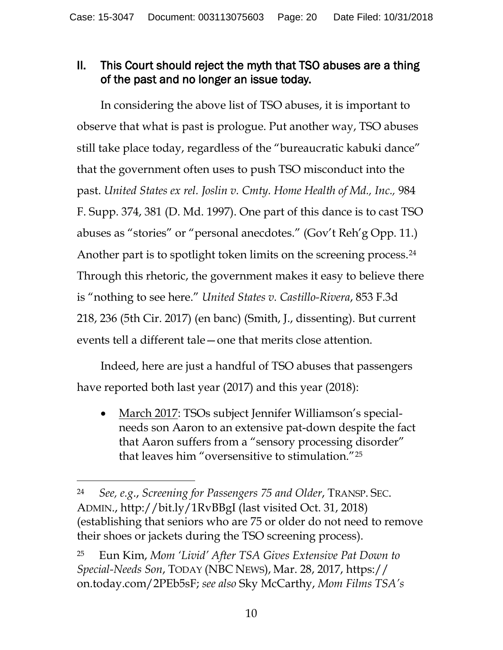### II. This Court should reject the myth that TSO abuses are a thing of the past and no longer an issue today.

In considering the above list of TSO abuses, it is important to observe that what is past is prologue. Put another way, TSO abuses still take place today, regardless of the "bureaucratic kabuki dance" that the government often uses to push TSO misconduct into the past. *United States ex rel. Joslin v. Cmty. Home Health of Md., Inc.,* 984 F. Supp. 374, 381 (D. Md. 1997). One part of this dance is to cast TSO abuses as "stories" or "personal anecdotes." (Gov't Reh'g Opp. 11.) Another part is to spotlight token limits on the screening process.<sup>[24](#page-19-0)</sup> Through this rhetoric, the government makes it easy to believe there is "nothing to see here." *United States v. Castillo-Rivera*, 853 F.3d 218, 236 (5th Cir. 2017) (en banc) (Smith, J., dissenting). But current events tell a different tale—one that merits close attention.

Indeed, here are just a handful of TSO abuses that passengers have reported both last year (2017) and this year (2018):

• March 2017: TSOs subject Jennifer Williamson's specialneeds son Aaron to an extensive pat-down despite the fact that Aaron suffers from a "sensory processing disorder" that leaves him "oversensitive to stimulation."[25](#page-19-1)

<span id="page-19-0"></span><sup>24</sup> *See, e.g*., *Screening for Passengers 75 and Older*, TRANSP. SEC. ADMIN., http://bit.ly/1RvBBgI (last visited Oct. 31, 2018) (establishing that seniors who are 75 or older do not need to remove their shoes or jackets during the TSO screening process).

<span id="page-19-1"></span><sup>25</sup> Eun Kim, *Mom 'Livid' After TSA Gives Extensive Pat Down to Special-Needs Son*, TODAY (NBC NEWS), Mar. 28, 2017, https:// on.today.com/2PEb5sF; *see also* Sky McCarthy, *Mom Films TSA's*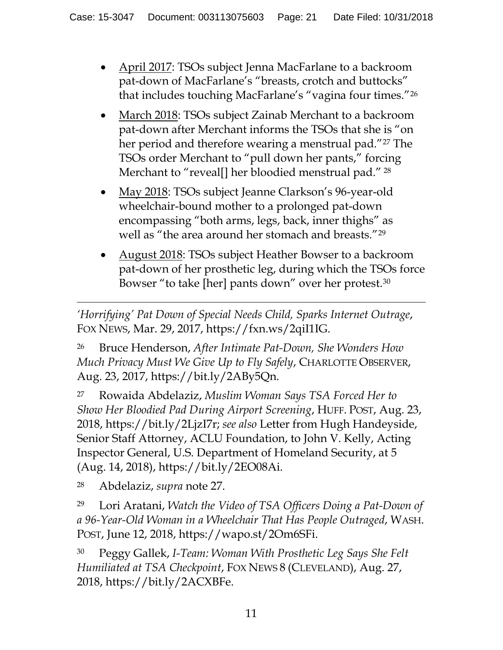- April 2017: TSOs subject Jenna MacFarlane to a backroom pat-down of MacFarlane's "breasts, crotch and buttocks" that includes touching MacFarlane's "vagina four times."[26](#page-20-0)
- March 2018: TSOs subject Zainab Merchant to a backroom pat-down after Merchant informs the TSOs that she is "on her period and therefore wearing a menstrual pad."<sup>[27](#page-20-1)</sup> The TSOs order Merchant to "pull down her pants," forcing Merchant to "reveal[] her bloodied menstrual pad."<sup>[28](#page-20-2)</sup>
- May 2018: TSOs subject Jeanne Clarkson's 96-year-old wheelchair-bound mother to a prolonged pat-down encompassing "both arms, legs, back, inner thighs" as well as "the area around her stomach and breasts."[29](#page-20-3)
- August 2018: TSOs subject Heather Bowser to a backroom pat-down of her prosthetic leg, during which the TSOs force Bowser "to take [her] pants down" over her protest.[30](#page-20-4)

 $\overline{a}$ *'Horrifying' Pat Down of Special Needs Child, Sparks Internet Outrage*, FOX NEWS, Mar. 29, 2017, https://fxn.ws/2qiI1IG.

<span id="page-20-0"></span><sup>26</sup> Bruce Henderson, *After Intimate Pat-Down, She Wonders How Much Privacy Must We Give Up to Fly Safely*, CHARLOTTE OBSERVER, Aug. 23, 2017, https://bit.ly/2ABy5Qn.

<span id="page-20-1"></span><sup>27</sup> Rowaida Abdelaziz, *Muslim Woman Says TSA Forced Her to Show Her Bloodied Pad During Airport Screening*, HUFF. POST, Aug. 23, 2018, https://bit.ly/2LjzI7r; *see also* Letter from Hugh Handeyside, Senior Staff Attorney, ACLU Foundation, to John V. Kelly, Acting Inspector General, U.S. Department of Homeland Security, at 5 (Aug. 14, 2018), https://bit.ly/2EO08Ai.

<span id="page-20-2"></span><sup>28</sup> Abdelaziz, *supra* note 27.

<span id="page-20-3"></span><sup>29</sup> Lori Aratani, *Watch the Video of TSA Officers Doing a Pat-Down of a 96-Year-Old Woman in a Wheelchair That Has People Outraged*, WASH. POST, June 12, 2018, https://wapo.st/2Om6SFi.

<span id="page-20-4"></span><sup>30</sup> Peggy Gallek, *I-Team: Woman With Prosthetic Leg Says She Felt Humiliated at TSA Checkpoint*, FOX NEWS 8 (CLEVELAND), Aug. 27, 2018, https://bit.ly/2ACXBFe.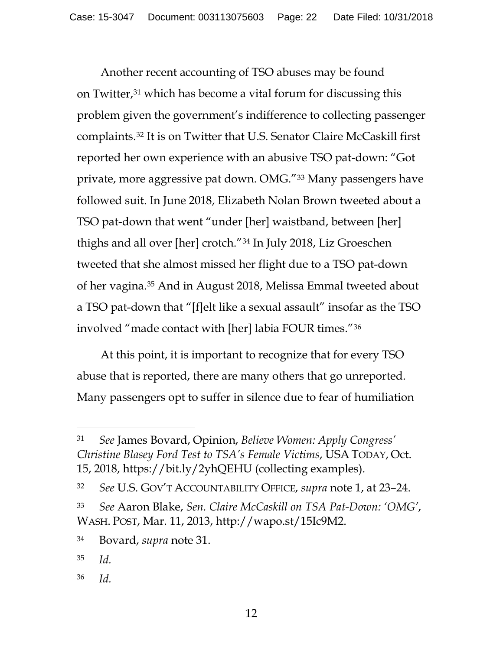Another recent accounting of TSO abuses may be found on Twitter,[31](#page-21-0) which has become a vital forum for discussing this problem given the government's indifference to collecting passenger complaints.[32](#page-21-1) It is on Twitter that U.S. Senator Claire McCaskill first reported her own experience with an abusive TSO pat-down: "Got private, more aggressive pat down. OMG."[33](#page-21-2) Many passengers have followed suit. In June 2018, Elizabeth Nolan Brown tweeted about a TSO pat-down that went "under [her] waistband, between [her] thighs and all over [her] crotch.["34](#page-21-3) In July 2018, Liz Groeschen tweeted that she almost missed her flight due to a TSO pat-down of her vagina.[35](#page-21-4) And in August 2018, Melissa Emmal tweeted about a TSO pat-down that "[f]elt like a sexual assault" insofar as the TSO involved "made contact with [her] labia FOUR times."[36](#page-21-5) 

At this point, it is important to recognize that for every TSO abuse that is reported, there are many others that go unreported. Many passengers opt to suffer in silence due to fear of humiliation

 $\overline{a}$ 

<span id="page-21-5"></span><sup>36</sup> *Id.*

<span id="page-21-0"></span><sup>31</sup> *See* James Bovard, Opinion, *Believe Women: Apply Congress' Christine Blasey Ford Test to TSA's Female Victims*, USA TODAY, Oct. 15, 2018, https://bit.ly/2yhQEHU (collecting examples).

<span id="page-21-1"></span><sup>32</sup> *See* U.S. GOV'T ACCOUNTABILITY OFFICE, *supra* note 1, at 23–24.

<span id="page-21-2"></span><sup>33</sup> *See* Aaron Blake, *Sen. Claire McCaskill on TSA Pat-Down: 'OMG'*, WASH. POST, Mar. 11, 2013, http://wapo.st/15Ic9M2.

<span id="page-21-3"></span><sup>34</sup> Bovard, *supra* note 31.

<span id="page-21-4"></span><sup>35</sup> *Id.*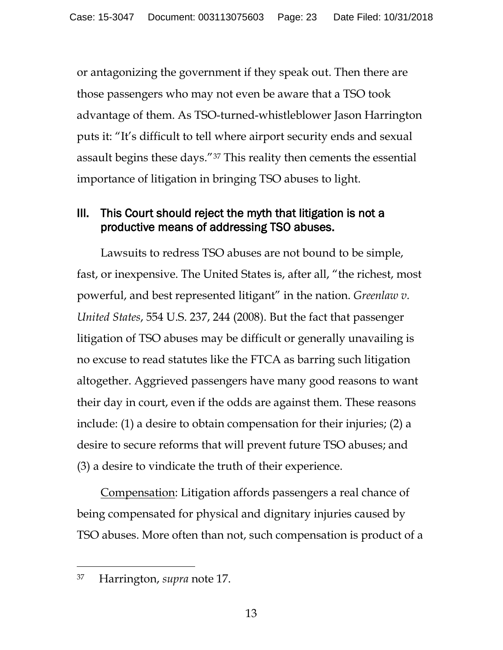or antagonizing the government if they speak out. Then there are those passengers who may not even be aware that a TSO took advantage of them. As TSO-turned-whistleblower Jason Harrington puts it: "It's difficult to tell where airport security ends and sexual assault begins these days."[37](#page-22-0) This reality then cements the essential importance of litigation in bringing TSO abuses to light.

### III. This Court should reject the myth that litigation is not a productive means of addressing TSO abuses.

Lawsuits to redress TSO abuses are not bound to be simple, fast, or inexpensive. The United States is, after all, "the richest, most powerful, and best represented litigant" in the nation. *Greenlaw v. United States*, 554 U.S. 237, 244 (2008). But the fact that passenger litigation of TSO abuses may be difficult or generally unavailing is no excuse to read statutes like the FTCA as barring such litigation altogether. Aggrieved passengers have many good reasons to want their day in court, even if the odds are against them. These reasons include: (1) a desire to obtain compensation for their injuries; (2) a desire to secure reforms that will prevent future TSO abuses; and (3) a desire to vindicate the truth of their experience.

Compensation: Litigation affords passengers a real chance of being compensated for physical and dignitary injuries caused by TSO abuses. More often than not, such compensation is product of a

<span id="page-22-0"></span><sup>37</sup> Harrington, *supra* note 17.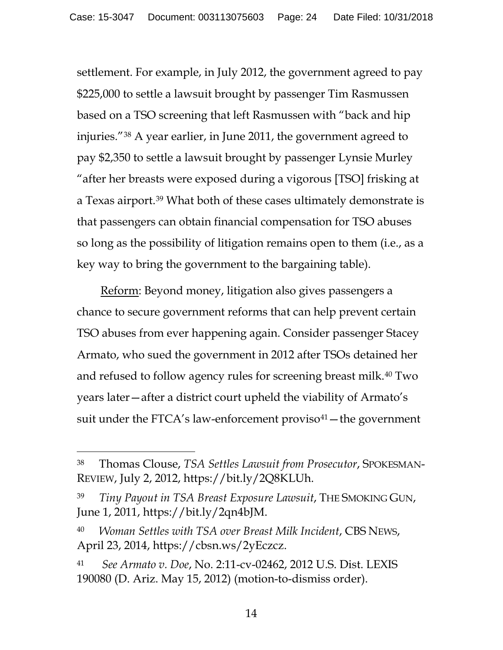settlement. For example, in July 2012, the government agreed to pay \$225,000 to settle a lawsuit brought by passenger Tim Rasmussen based on a TSO screening that left Rasmussen with "back and hip injuries."[38](#page-23-0) A year earlier, in June 2011, the government agreed to pay \$2,350 to settle a lawsuit brought by passenger Lynsie Murley "after her breasts were exposed during a vigorous [TSO] frisking at a Texas airport.[39](#page-23-1) What both of these cases ultimately demonstrate is that passengers can obtain financial compensation for TSO abuses so long as the possibility of litigation remains open to them (i.e., as a key way to bring the government to the bargaining table).

Reform: Beyond money, litigation also gives passengers a chance to secure government reforms that can help prevent certain TSO abuses from ever happening again. Consider passenger Stacey Armato, who sued the government in 2012 after TSOs detained her and refused to follow agency rules for screening breast milk[.40](#page-23-2) Two years later—after a district court upheld the viability of Armato's suit under the FTCA's law-enforcement proviso $41$  – the government

- <span id="page-23-2"></span><sup>40</sup> *Woman Settles with TSA over Breast Milk Incident*, CBS NEWS, April 23, 2014, https://cbsn.ws/2yEczcz.
- <span id="page-23-3"></span><sup>41</sup> *See Armato v. Doe*, No. 2:11-cv-02462, 2012 U.S. Dist. LEXIS 190080 (D. Ariz. May 15, 2012) (motion-to-dismiss order).

<span id="page-23-0"></span><sup>38</sup> Thomas Clouse, *TSA Settles Lawsuit from Prosecutor*, SPOKESMAN-REVIEW, July 2, 2012, https://bit.ly/2Q8KLUh.

<span id="page-23-1"></span><sup>39</sup> *Tiny Payout in TSA Breast Exposure Lawsuit*, THE SMOKING GUN, June 1, 2011, https://bit.ly/2qn4bJM.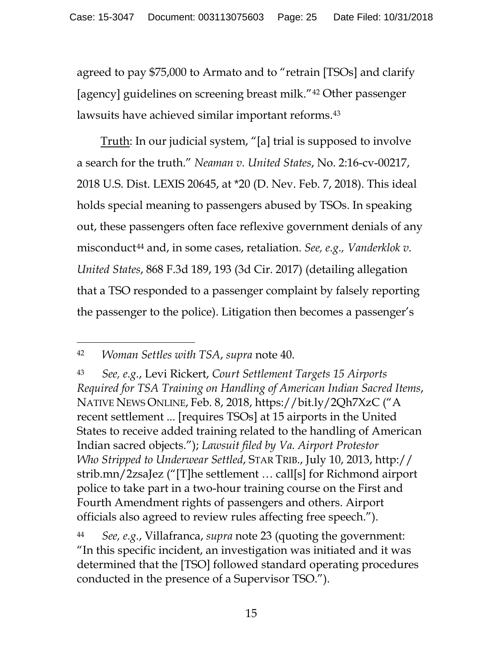agreed to pay \$75,000 to Armato and to "retrain [TSOs] and clarify [agency] guidelines on screening breast milk."[42](#page-24-0) Other passenger lawsuits have achieved similar important reforms.[43](#page-24-1)

Truth: In our judicial system, "[a] trial is supposed to involve a search for the truth." *Neaman v. United States*, No. 2:16-cv-00217, 2018 U.S. Dist. LEXIS 20645, at \*20 (D. Nev. Feb. 7, 2018). This ideal holds special meaning to passengers abused by TSOs. In speaking out, these passengers often face reflexive government denials of any misconduct[44](#page-24-2) and, in some cases, retaliation. *See, e.g., Vanderklok v. United States*, 868 F.3d 189, 193 (3d Cir. 2017) (detailing allegation that a TSO responded to a passenger complaint by falsely reporting the passenger to the police). Litigation then becomes a passenger's

<span id="page-24-0"></span><sup>42</sup> *Woman Settles with TSA*, *supra* note 40.

<span id="page-24-1"></span><sup>43</sup> *See, e.g.*, Levi Rickert, *Court Settlement Targets 15 Airports Required for TSA Training on Handling of American Indian Sacred Items*, NATIVE NEWS ONLINE, Feb. 8, 2018, https://bit.ly/2Qh7XzC ("A recent settlement ... [requires TSOs] at 15 airports in the United States to receive added training related to the handling of American Indian sacred objects."); *Lawsuit filed by Va. Airport Protestor Who Stripped to Underwear Settled*, STAR TRIB., July 10, 2013, http:// strib.mn/2zsaJez ("[T]he settlement … call[s] for Richmond airport police to take part in a two-hour training course on the First and Fourth Amendment rights of passengers and others. Airport officials also agreed to review rules affecting free speech.").

<span id="page-24-2"></span><sup>44</sup> *See, e.g.*, Villafranca, *supra* note 23 (quoting the government: "In this specific incident, an investigation was initiated and it was determined that the [TSO] followed standard operating procedures conducted in the presence of a Supervisor TSO.").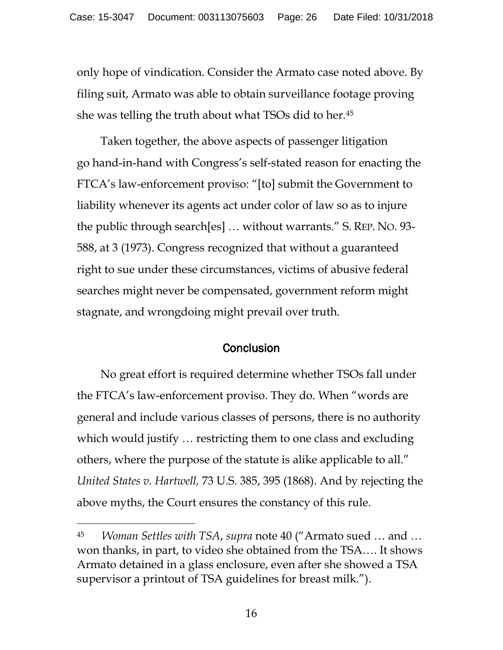only hope of vindication. Consider the Armato case noted above. By filing suit, Armato was able to obtain surveillance footage proving she was telling the truth about what TSOs did to her[.45](#page-25-0)

Taken together, the above aspects of passenger litigation go hand-in-hand with Congress's self-stated reason for enacting the FTCA's law-enforcement proviso: "[to] submit the Government to liability whenever its agents act under color of law so as to injure the public through search[es] … without warrants." S. REP. NO. 93- 588, at 3 (1973). Congress recognized that without a guaranteed right to sue under these circumstances, victims of abusive federal searches might never be compensated, government reform might stagnate, and wrongdoing might prevail over truth.

#### **Conclusion**

No great effort is required determine whether TSOs fall under the FTCA's law-enforcement proviso. They do. When "words are general and include various classes of persons, there is no authority which would justify … restricting them to one class and excluding others, where the purpose of the statute is alike applicable to all." *United States v. Hartwell,* 73 U.S. 385, 395 (1868). And by rejecting the above myths, the Court ensures the constancy of this rule.

<span id="page-25-0"></span><sup>45</sup> *Woman Settles with TSA*, *supra* note 40 ("Armato sued … and … won thanks, in part, to video she obtained from the TSA…. It shows Armato detained in a glass enclosure, even after she showed a TSA supervisor a printout of TSA guidelines for breast milk.").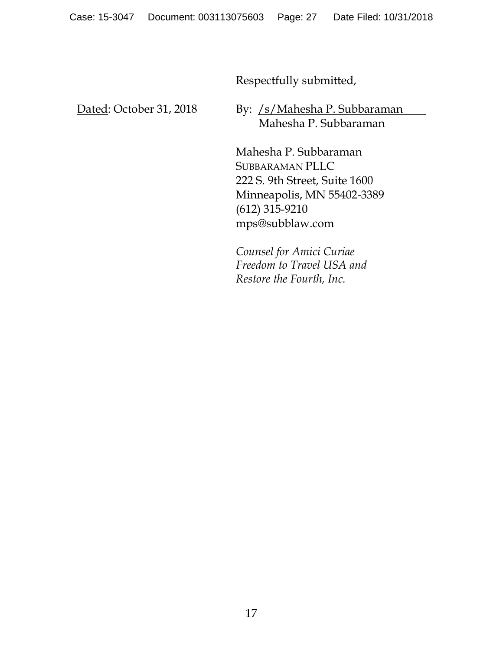Respectfully submitted,

Dated: October 31, 2018

By: /s/Mahesha P. Subbaraman Mahesha P. Subbaraman

Mahesha P. Subbaraman SUBBARAMAN PLLC 222 S. 9th Street, Suite 1600 Minneapolis, MN 55402-3389 (612) 315-9210 mps@subblaw.com

*Counsel for Amici Curiae Freedom to Travel USA and Restore the Fourth, Inc.*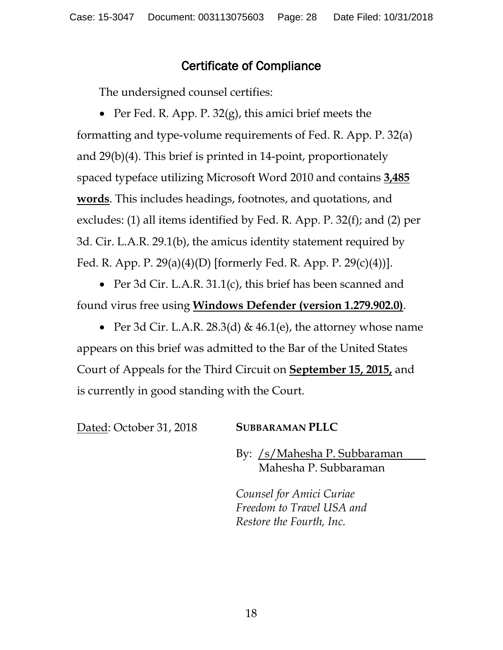## Certificate of Compliance

The undersigned counsel certifies:

• Per Fed. R. App. P. 32(g), this amici brief meets the formatting and type-volume requirements of Fed. R. App. P. 32(a) and 29(b)(4). This brief is printed in 14-point, proportionately spaced typeface utilizing Microsoft Word 2010 and contains **3,485 words**. This includes headings, footnotes, and quotations, and excludes: (1) all items identified by Fed. R. App. P. 32(f); and (2) per 3d. Cir. L.A.R. 29.1(b), the amicus identity statement required by Fed. R. App. P. 29(a)(4)(D) [formerly Fed. R. App. P. 29(c)(4))].

• Per 3d Cir. L.A.R. 31.1(c), this brief has been scanned and found virus free using **Windows Defender (version 1.279.902.0)**.

• Per 3d Cir. L.A.R. 28.3(d) &  $46.1$ (e), the attorney whose name appears on this brief was admitted to the Bar of the United States Court of Appeals for the Third Circuit on **September 15, 2015,** and is currently in good standing with the Court.

Dated: October 31, 2018 **SUBBARAMAN PLLC**

By: /s/Mahesha P. Subbaraman Mahesha P. Subbaraman

*Counsel for Amici Curiae Freedom to Travel USA and Restore the Fourth, Inc.*